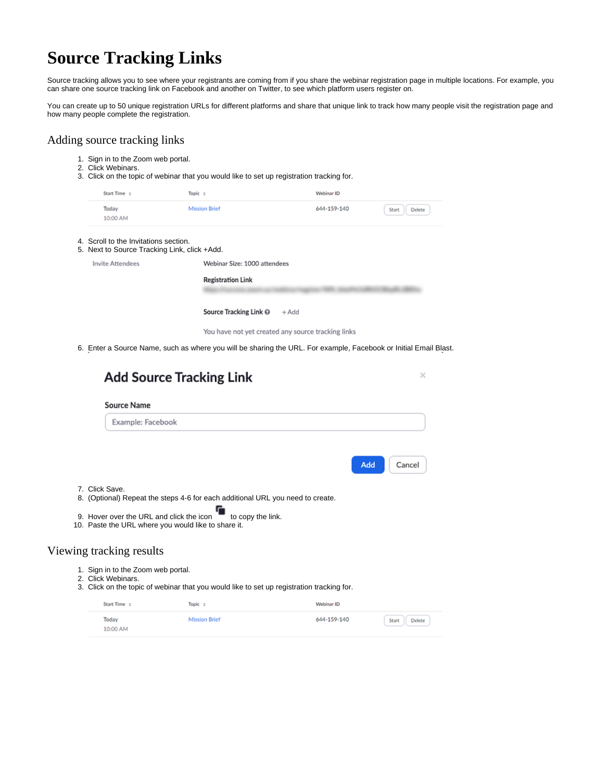## **Source Tracking Links**

Source tracking allows you to see where your registrants are coming from if you share the webinar registration page in multiple locations. For example, you can share one source tracking link on Facebook and another on Twitter, to see which platform users register on.

You can create up to 50 unique registration URLs for different platforms and share that unique link to track how many people visit the registration page and how many people complete the registration.

## Adding source tracking links

- 1. Sign in to the Zoom web portal.
- 2. Click Webinars.

4. 5.

3. Click on the topic of webinar that you would like to set up registration tracking for.

| Start Time ÷                                                                    | Topic ÷                      | Webinar ID  |                 |  |  |
|---------------------------------------------------------------------------------|------------------------------|-------------|-----------------|--|--|
| Today<br>10:00 AM                                                               | <b>Mission Brief</b>         | 644-159-140 | Delete<br>Start |  |  |
| Scroll to the Invitations section.<br>Next to Source Tracking Link, click +Add. |                              |             |                 |  |  |
| <b>Invite Attendees</b>                                                         | Webinar Size: 1000 attendees |             |                 |  |  |
|                                                                                 | <b>Registration Link</b>     |             |                 |  |  |
|                                                                                 | Source Tracking Link @       | $+$ Add     |                 |  |  |

You have not yet created any source tracking links

6. Enter a Source Name, such as where you will be sharing the URL. For example, Facebook or Initial Email Blast.

|                                                            | <b>Add Source Tracking Link</b>                                                                                                                            |             | ×      |
|------------------------------------------------------------|------------------------------------------------------------------------------------------------------------------------------------------------------------|-------------|--------|
| Source Name                                                |                                                                                                                                                            |             |        |
| Example: Facebook                                          |                                                                                                                                                            |             |        |
| 7. Click Save.<br>9. Hover over the URL and click the icon | 8. (Optional) Repeat the steps 4-6 for each additional URL you need to create.<br>to copy the link.<br>10. Paste the URL where you would like to share it. | Add         | Cancel |
| Viewing tracking results                                   |                                                                                                                                                            |             |        |
| 1. Sign in to the Zoom web portal.<br>2. Click Webinars.   | 3. Click on the topic of webinar that you would like to set up registration tracking for.                                                                  |             |        |
| Start Time ÷                                               | Topic ÷                                                                                                                                                    | Webinar ID  |        |
| Today                                                      | <b>Mission Brief</b>                                                                                                                                       | 644-159-140 |        |